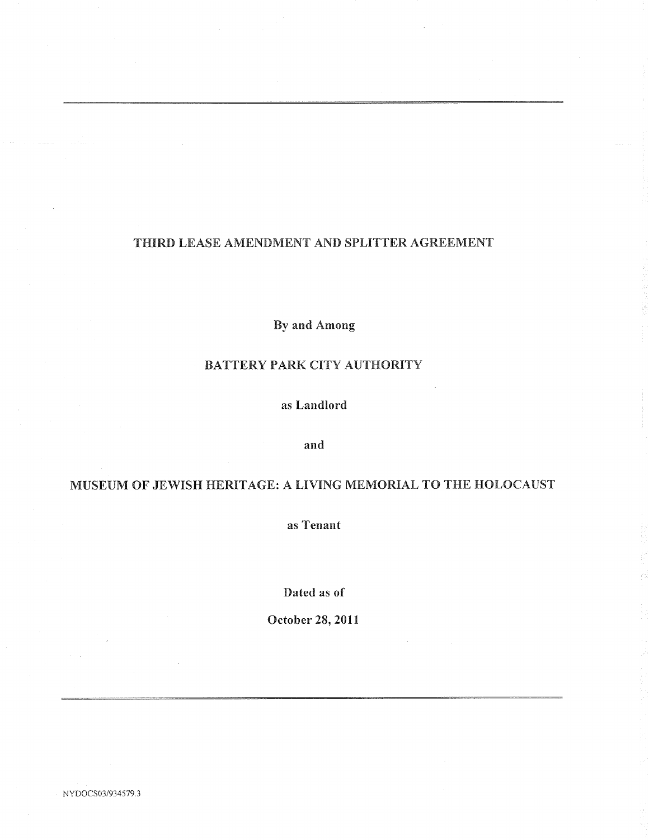# THIRD LEASE AMENDMENT AND SPLITTER AGREEMENT

By and Among

# BATTERY PARK CITY AUTHORITY

as Landlord

and

# MUSEUM OF JEWISH HERITAGE: A LIVING MEMORIAL TO THE HOLOCAUST

as Tenant

Dated as of

October 28, 2011

NYDOCSO3/934579.3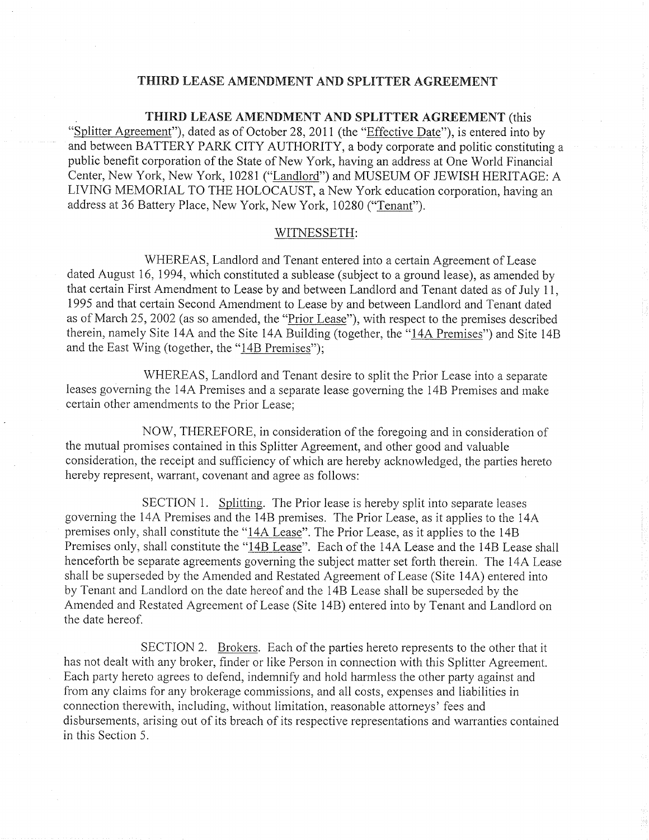#### THIRD LEASE AMENDMENT AND SPLITTER AGREEMENT

#### THIRD LEASE AMENDMENT AND SPLITTER AGREEMENT (this

"Splitter Agreement"), dated as of October 28, 2011 (the "Effective Date"), is entered into by and between BATTERY PARK CITY AUTHORITY, a body corporate and politic constituting a public benefit corporation of the State of New York having an address at One World Financial Center, New York, New York, 10281 ("Landlord") and MUSEUM OF JEWISH HERITAGE: A LIVING MEMORIAL TO THE HOLOCAUST, a New York education corporation, having an address at 36 Battery Place, New York, New York, 10280 ("Tenant").

#### WITNESSETH

WHEREAS, Landlord and Tenant entered into a certain Agreement of Lease dated August 16, 1994, which constituted a sublease (subject to a ground lease), as amended by that certain First Amendment to Lease by and between Landlord and Tenant dated as of July <sup>11</sup> 1995 and that certain Second Amendment to Lease by and between Landlord and Tenant dated as of March 25, 2002 (as so amended, the "Prior Lease"), with respect to the premises described therein, namely Site 14A and the Site 14A Building (together, the "14A Premises") and Site 14B and the East Wing (together, the " $14B$  Premises");

WHEREAS, Landlord and Tenant desire to split the Prior Lease into a separate leases governing the 14A Premises and a separate lease governing the 14B Premises and make certain other amendments to the Prior Lease

NOW, THEREFORE, in consideration of the foregoing and in consideration of the mutual promises contained in this Splitter Agreement, and other good and valuable consideration, the receipt and sufficiency of which are hereby acknowledged, the parties hereto hereby represent, warrant, covenant and agree as follows:

SECTION 1. Splitting. The Prior lease is hereby split into separate leases governing the 14A Premises and the 14B premises. The Prior Lease, as it applies to the 14A premises only, shall constitute the " $14A$  Lease". The Prior Lease, as it applies to the 14B Premises only, shall constitute the "14B Lease". Each of the 14A Lease and the 14B Lease shall henceforth be separate agreements governing the subject matter set forth therein. The 14A Lease shall be superseded by the Amended and Restated Agreement of Lease (Site 14A) entered into by Tenant and Landlord on the date hereof and the 4B Lease shall be superseded by the Amended and Restated Agreement of Lease (Site 14B) entered into by Tenant and Landlord on the date hereof

SECTION 2. Brokers. Each of the parties hereto represents to the other that it has not dealt with any broker, finder or like Person in connection with this Splitter Agreement. Each party hereto agrees to defend, indemnify and hold harmless the other party against and from any claims for any brokerage commissions, and all costs, expenses and liabilities in connection therewith, including, without limitation, reasonable attorneys' fees and disbursements, arising out of its breach of its respective representations and warranties contained in this Section 5.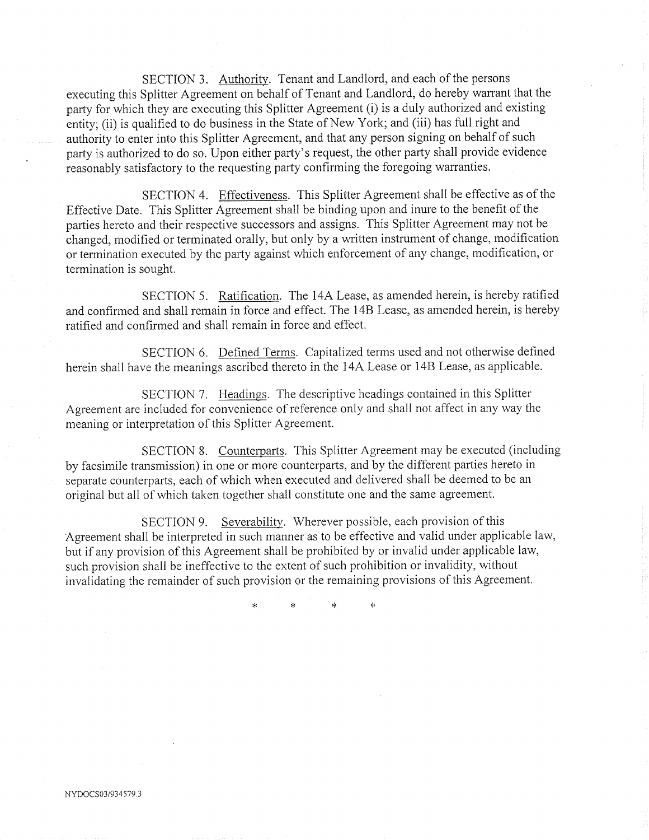SECTION 3. Authority. Tenant and Landlord, and each of the persons executing this Splitter Agreement on behalf of Tenant and Landlord, do hereby warrant that the party for which they are executing this Splitter Agreement (i) is a duly authorized and existing<br>entity; (ii) is qualified to do business in the State of New York; and (iii) has full right and authority to enter into this Splitter Agreement, and that any person signing on behalf of such party is authorized to do so. Upon either party's request, the other party shall provide evidence reasonably satisfactory to the requesting party confirming the foregoing warranties

SECTION 4. Effectiveness. This Splitter Agreement shall be effective as of the Effective Date. This Splitter Agreement shall be binding upon and inure to the benefit of the parties hereto and their respective successors and assigns. This Splitter Agreement may not be changed, modified or terminated orally, but only by a written instrument of change, modification or termination executed by the party against which enforcement of any change, modification, or termination is sought

SECTION 5. Ratification. The 14A Lease, as amended herein, is hereby ratified and confirmed and shall remain in force and effect. The 14B Lease, as amended herein, is hereby ratified and confirmed and shall remain in force and effect

SECTION 6. Defined Terms. Capitalized terms used and not otherwise defined herein shall have the meanings ascribed thereto in the 14A Lease or 14B Lease, as applicable.

SECTION 7. Headings. The descriptive headings contained in this Splitter Agreement are included for convenience of reference only and shall not affect in any way the meaning or interpretation of this Splitter Agreement

SECTION 8. Counterparts. This Splitter Agreement may be executed (including by facsimile transmission) in one or more counterparts, and by the different parties hereto in separate counterparts, each of which when executed and delivered shall be deemed to be an original but all of which taken together shall constitute one and the same agreement

SECTION 9. Severability. Wherever possible, each provision of this Agreement shall be interpreted in such manner as to be effective and valid under applicable law but if any provision of this Agreement shall be prohibited by or invalid under applicable law such provision shall be ineffective to the extent of such prohibition or invalidity, without invalidating the remainder of such provision or the remaining provisions of this Agreement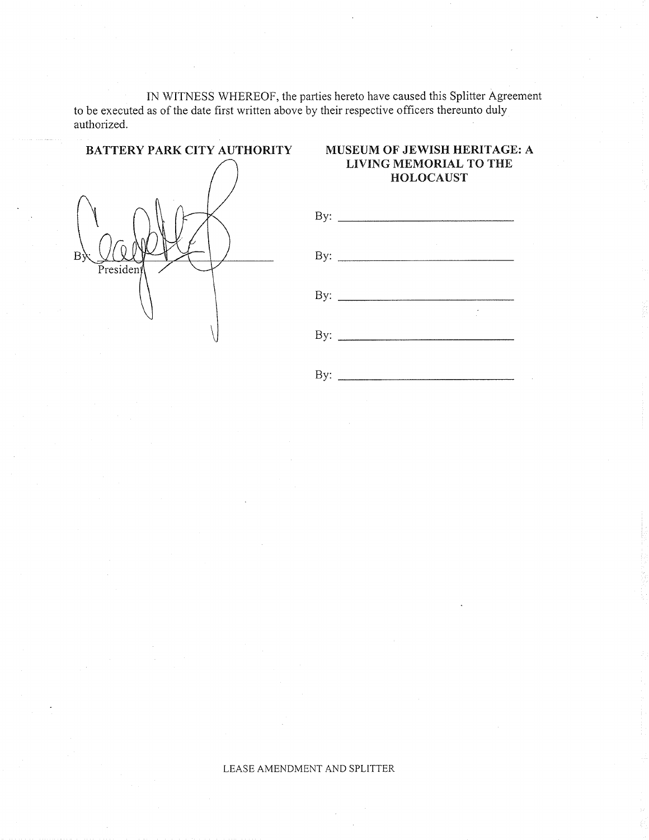IN WITNESS WHEREOF, the parties hereto have caused this Splitter Agreement to be executed as of the date first written above by their respective officers thereunto duly authorized



# LIVING MEMORIAL TO THE HOLOCAUST



LEASE AMENDMENT AND SPLITTER